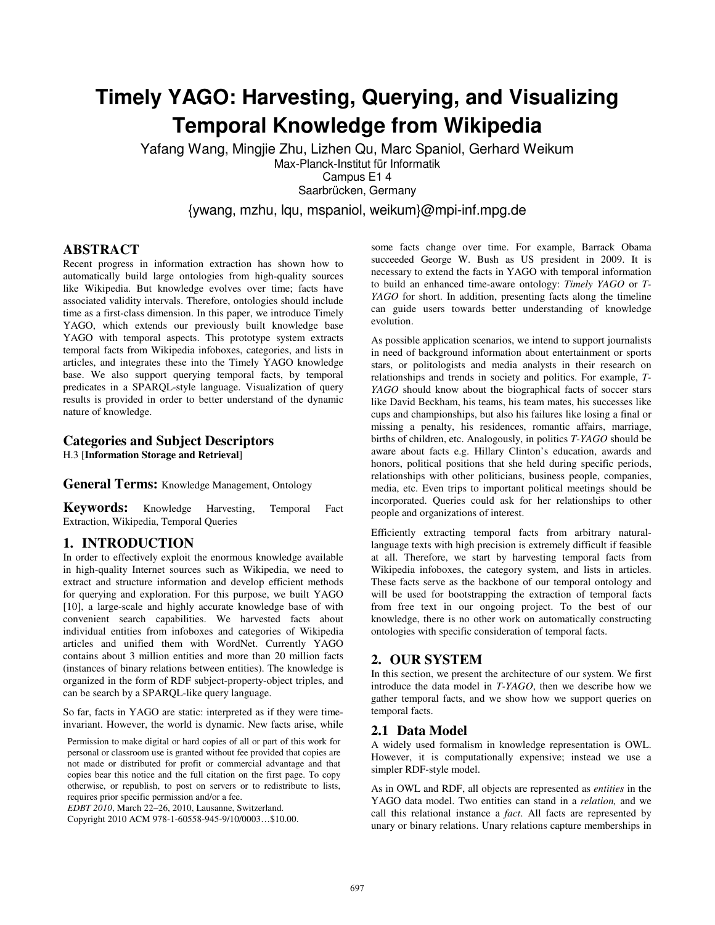# **Timely YAGO: Harvesting, Querying, and Visualizing Temporal Knowledge from Wikipedia**

Yafang Wang, Mingjie Zhu, Lizhen Qu, Marc Spaniol, Gerhard Weikum Max-Planck-Institut für Informatik Campus E1 4 Saarbrücken, Germany

{ywang, mzhu, lqu, mspaniol, weikum}@mpi-inf.mpg.de

### **ABSTRACT**

Recent progress in information extraction has shown how to automatically build large ontologies from high-quality sources like Wikipedia. But knowledge evolves over time; facts have associated validity intervals. Therefore, ontologies should include time as a first-class dimension. In this paper, we introduce Timely YAGO, which extends our previously built knowledge base YAGO with temporal aspects. This prototype system extracts temporal facts from Wikipedia infoboxes, categories, and lists in articles, and integrates these into the Timely YAGO knowledge base. We also support querying temporal facts, by temporal predicates in a SPARQL-style language. Visualization of query results is provided in order to better understand of the dynamic nature of knowledge.

# **Categories and Subject Descriptors**

H.3 [**Information Storage and Retrieval**]

### **General Terms:** Knowledge Management, Ontology

**Keywords:** Knowledge Harvesting, Temporal Fact Extraction, Wikipedia, Temporal Queries

# **1. INTRODUCTION**

In order to effectively exploit the enormous knowledge available in high-quality Internet sources such as Wikipedia, we need to extract and structure information and develop efficient methods for querying and exploration. For this purpose, we built YAGO [10], a large-scale and highly accurate knowledge base of with convenient search capabilities. We harvested facts about individual entities from infoboxes and categories of Wikipedia articles and unified them with WordNet. Currently YAGO contains about 3 million entities and more than 20 million facts (instances of binary relations between entities). The knowledge is organized in the form of RDF subject-property-object triples, and can be search by a SPARQL-like query language.

So far, facts in YAGO are static: interpreted as if they were timeinvariant. However, the world is dynamic. New facts arise, while

Permission to make digital or hard copies of all or part of this work for personal or classroom use is granted without fee provided that copies are not made or distributed for profit or commercial advantage and that copies bear this notice and the full citation on the first page. To copy otherwise, or republish, to post on servers or to redistribute to lists, requires prior specific permission and/or a fee.

*EDBT 2010*, March 22–26, 2010, Lausanne, Switzerland.

Copyright 2010 ACM 978-1-60558-945-9/10/0003…\$10.00.

some facts change over time. For example, Barrack Obama succeeded George W. Bush as US president in 2009. It is necessary to extend the facts in YAGO with temporal information to build an enhanced time-aware ontology: *Timely YAGO* or *T-YAGO* for short. In addition, presenting facts along the timeline can guide users towards better understanding of knowledge evolution.

As possible application scenarios, we intend to support journalists in need of background information about entertainment or sports stars, or politologists and media analysts in their research on relationships and trends in society and politics. For example, *T-YAGO* should know about the biographical facts of soccer stars like David Beckham, his teams, his team mates, his successes like cups and championships, but also his failures like losing a final or missing a penalty, his residences, romantic affairs, marriage, births of children, etc. Analogously, in politics *T-YAGO* should be aware about facts e.g. Hillary Clinton's education, awards and honors, political positions that she held during specific periods, relationships with other politicians, business people, companies, media, etc. Even trips to important political meetings should be incorporated. Queries could ask for her relationships to other people and organizations of interest.

Efficiently extracting temporal facts from arbitrary naturallanguage texts with high precision is extremely difficult if feasible at all. Therefore, we start by harvesting temporal facts from Wikipedia infoboxes, the category system, and lists in articles. These facts serve as the backbone of our temporal ontology and will be used for bootstrapping the extraction of temporal facts from free text in our ongoing project. To the best of our knowledge, there is no other work on automatically constructing ontologies with specific consideration of temporal facts.

#### **2. OUR SYSTEM**

In this section, we present the architecture of our system. We first introduce the data model in *T-YAGO*, then we describe how we gather temporal facts, and we show how we support queries on temporal facts.

#### **2.1 Data Model**

A widely used formalism in knowledge representation is OWL. However, it is computationally expensive; instead we use a simpler RDF-style model.

As in OWL and RDF, all objects are represented as *entities* in the YAGO data model. Two entities can stand in a *relation,* and we call this relational instance a *fact*. All facts are represented by unary or binary relations. Unary relations capture memberships in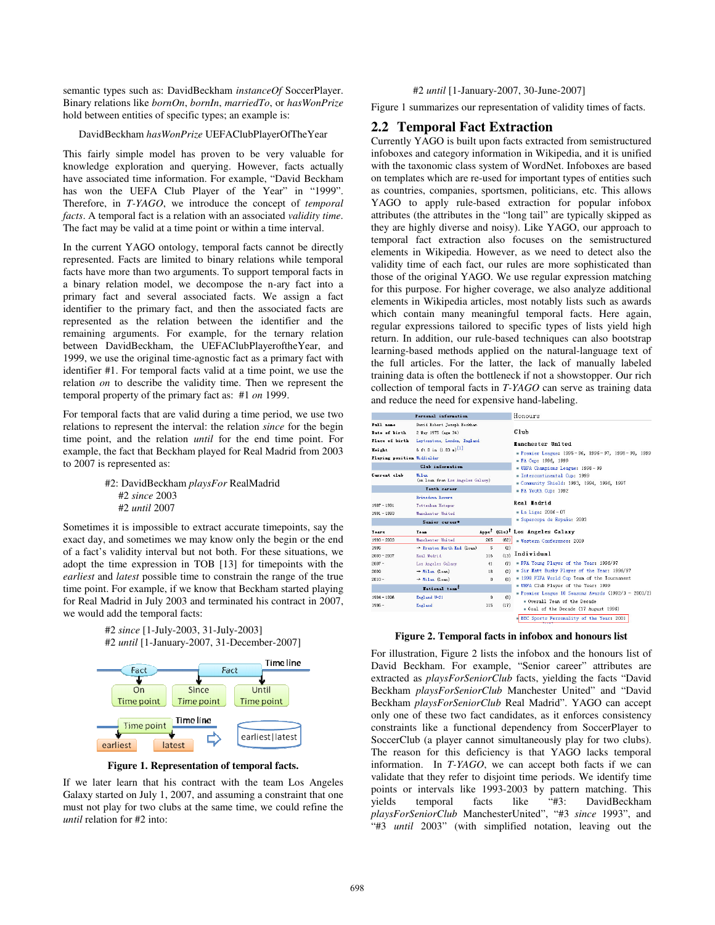semantic types such as: DavidBeckham *instanceOf* SoccerPlayer. Binary relations like *bornOn*, *bornIn*, *marriedTo*, or *hasWonPrize* hold between entities of specific types; an example is:

#### DavidBeckham *hasWonPrize* UEFAClubPlayerOfTheYear

This fairly simple model has proven to be very valuable for knowledge exploration and querying. However, facts actually have associated time information. For example, "David Beckham has won the UEFA Club Player of the Year" in "1999". Therefore, in *T-YAGO*, we introduce the concept of *temporal facts*. A temporal fact is a relation with an associated *validity time*. The fact may be valid at a time point or within a time interval.

In the current YAGO ontology, temporal facts cannot be directly represented. Facts are limited to binary relations while temporal facts have more than two arguments. To support temporal facts in a binary relation model, we decompose the n-ary fact into a primary fact and several associated facts. We assign a fact identifier to the primary fact, and then the associated facts are represented as the relation between the identifier and the remaining arguments. For example, for the ternary relation between DavidBeckham, the UEFAClubPlayeroftheYear, and 1999, we use the original time-agnostic fact as a primary fact with identifier #1. For temporal facts valid at a time point, we use the relation *on* to describe the validity time. Then we represent the temporal property of the primary fact as: #1 *on* 1999.

For temporal facts that are valid during a time period, we use two relations to represent the interval: the relation *since* for the begin time point, and the relation *until* for the end time point. For example, the fact that Beckham played for Real Madrid from 2003 to 2007 is represented as:

> #2: DavidBeckham *playsFor* RealMadrid #2 *since* 2003 #2 *until* 2007

Sometimes it is impossible to extract accurate timepoints, say the exact day, and sometimes we may know only the begin or the end of a fact's validity interval but not both. For these situations, we adopt the time expression in TOB [13] for timepoints with the *earliest* and *latest* possible time to constrain the range of the true time point. For example, if we know that Beckham started playing for Real Madrid in July 2003 and terminated his contract in 2007, we would add the temporal facts:

> #2 *since* [1-July-2003, 31-July-2003] #2 *until* [1-January-2007, 31-December-2007]



**Figure 1. Representation of temporal facts.** 

If we later learn that his contract with the team Los Angeles Galaxy started on July 1, 2007, and assuming a constraint that one must not play for two clubs at the same time, we could refine the *until* relation for #2 into:

#### #2 *until* [1-January-2007, 30-June-2007]

Figure 1 summarizes our representation of validity times of facts.

# **2.2 Temporal Fact Extraction**

Currently YAGO is built upon facts extracted from semistructured infoboxes and category information in Wikipedia, and it is unified with the taxonomic class system of WordNet. Infoboxes are based on templates which are re-used for important types of entities such as countries, companies, sportsmen, politicians, etc. This allows YAGO to apply rule-based extraction for popular infobox attributes (the attributes in the "long tail" are typically skipped as they are highly diverse and noisy). Like YAGO, our approach to temporal fact extraction also focuses on the semistructured elements in Wikipedia. However, as we need to detect also the validity time of each fact, our rules are more sophisticated than those of the original YAGO. We use regular expression matching for this purpose. For higher coverage, we also analyze additional elements in Wikipedia articles, most notably lists such as awards which contain many meaningful temporal facts. Here again, regular expressions tailored to specific types of lists yield high return. In addition, our rule-based techniques can also bootstrap learning-based methods applied on the natural-language text of the full articles. For the latter, the lack of manually labeled training data is often the bottleneck if not a showstopper. Our rich collection of temporal facts in *T-YAGO* can serve as training data and reduce the need for expensive hand-labeling.

| Personal information                            |                                                                                          |     |                                                                                                             | Honours                                                               |
|-------------------------------------------------|------------------------------------------------------------------------------------------|-----|-------------------------------------------------------------------------------------------------------------|-----------------------------------------------------------------------|
| Full name                                       | David Robert Joseph Beckhan                                                              |     |                                                                                                             |                                                                       |
| Date of birth                                   | 2 May 1975 (age 34)<br>Leytonstone, London, England<br>6 ft 0 in (1.83 m) <sup>[1]</sup> |     |                                                                                                             | Club<br><b>Manchester United</b>                                      |
| Place of birth                                  |                                                                                          |     |                                                                                                             |                                                                       |
| Height                                          |                                                                                          |     |                                                                                                             |                                                                       |
| Playing position Midfielder<br>Club information |                                                                                          |     | Premier League: 1995-96, 1996-97, 1998-99, 1999<br>= FA Cup: 1996, 1999<br>= UEFA Champions League: 1998-99 |                                                                       |
|                                                 |                                                                                          |     |                                                                                                             | Current club                                                          |
|                                                 | <b>Touth</b> career                                                                      |     |                                                                                                             | = FA Youth Cup: 1992                                                  |
| <b>Brinsdown Rovers</b>                         |                                                                                          |     |                                                                                                             |                                                                       |
| $1987 - 1991$                                   | Tottenham Hotspur                                                                        |     |                                                                                                             | Real <b>I</b> adrid                                                   |
| $1991 - 1993$                                   | Manchester United                                                                        |     |                                                                                                             | $La$ Liga: 2006-07                                                    |
| Senior career*                                  |                                                                                          |     |                                                                                                             | Supercopa de España: 2003                                             |
| Tears                                           | Tesm                                                                                     |     |                                                                                                             | Apps <sup>7</sup> (Gls) <sup>7</sup> Los Angeles Galaxy               |
| $1993 - 2003$                                   | Manchester United                                                                        | 265 | (62)                                                                                                        | Western Conference: 2009                                              |
| 1995                                            | $\rightarrow$ Preston North End (Loan)                                                   | 5   | (2)                                                                                                         |                                                                       |
| $2003 - 2007$                                   | Real Madrid                                                                              | 116 | (13)                                                                                                        | Individual                                                            |
| $2007 -$                                        | Los Angeles Galaxy                                                                       | 41  | (T)                                                                                                         | . PFA Young Player of the Year: 1996/97                               |
| 2009                                            | $\rightarrow$ Hilan (Lean)                                                               | 18  | (2)                                                                                                         | = Sir Matt Busby Player of the Year: 1996/97                          |
| $2010 -$                                        | $\rightarrow$ Hilan (lean)                                                               | 0   | (0)                                                                                                         | = 1998 FIFA World Cup Team of the Tournament                          |
| Hational team <sup>I</sup>                      |                                                                                          |     | = UEFA Club Player of the Year: 1999                                                                        |                                                                       |
| $1994 - 1996$                                   | England U-21                                                                             | 9   | (0)                                                                                                         | Premier League 10 Seasons Awards (1992/3 - 2001/2)                    |
| $1996 -$                                        | <b>England</b>                                                                           | 115 | (17)                                                                                                        | s Overall Team of the Decade<br>= Goal of the Decade (17 August 1996) |
|                                                 |                                                                                          |     |                                                                                                             | BBC Sports Personality of the Year: 2001                              |

#### **Figure 2. Temporal facts in infobox and honours list**

For illustration, Figure 2 lists the infobox and the honours list of David Beckham. For example, "Senior career" attributes are extracted as *playsForSeniorClub* facts, yielding the facts "David Beckham *playsForSeniorClub* Manchester United" and "David Beckham *playsForSeniorClub* Real Madrid". YAGO can accept only one of these two fact candidates, as it enforces consistency constraints like a functional dependency from SoccerPlayer to SoccerClub (a player cannot simultaneously play for two clubs). The reason for this deficiency is that YAGO lacks temporal information. In *T-YAGO*, we can accept both facts if we can validate that they refer to disjoint time periods. We identify time points or intervals like 1993-2003 by pattern matching. This yields temporal facts like "#3: DavidBeckham *playsForSeniorClub* ManchesterUnited", "#3 *since* 1993", and "#3 *until* 2003" (with simplified notation, leaving out the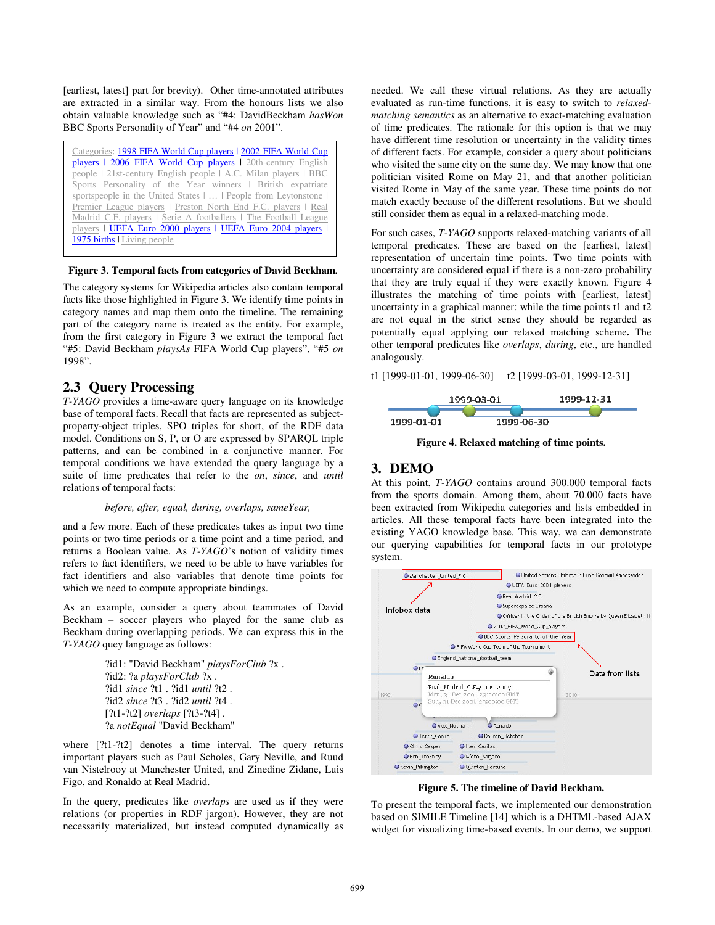[earliest, latest] part for brevity). Other time-annotated attributes are extracted in a similar way. From the honours lists we also obtain valuable knowledge such as "#4: DavidBeckham *hasWon* BBC Sports Personality of Year" and "#4 *on* 2001".



#### **Figure 3. Temporal facts from categories of David Beckham.**

The category systems for Wikipedia articles also contain temporal facts like those highlighted in Figure 3. We identify time points in category names and map them onto the timeline. The remaining part of the category name is treated as the entity. For example, from the first category in Figure 3 we extract the temporal fact "#5: David Beckham *playsAs* FIFA World Cup players", "#5 *on* 1998".

## **2.3 Query Processing**

*T-YAGO* provides a time-aware query language on its knowledge base of temporal facts. Recall that facts are represented as subjectproperty-object triples, SPO triples for short, of the RDF data model. Conditions on S, P, or O are expressed by SPARQL triple patterns, and can be combined in a conjunctive manner. For temporal conditions we have extended the query language by a suite of time predicates that refer to the *on*, *since*, and *until* relations of temporal facts:

#### *before, after, equal, during, overlaps, sameYear,*

and a few more. Each of these predicates takes as input two time points or two time periods or a time point and a time period, and returns a Boolean value. As *T-YAGO*'s notion of validity times refers to fact identifiers, we need to be able to have variables for fact identifiers and also variables that denote time points for which we need to compute appropriate bindings.

As an example, consider a query about teammates of David Beckham – soccer players who played for the same club as Beckham during overlapping periods. We can express this in the *T-YAGO* quey language as follows:

> ?id1: "David Beckham" *playsForClub* ?x . ?id2: ?a *playsForClub* ?x . ?id1 *since* ?t1 . ?id1 *until* ?t2 . ?id2 *since* ?t3 . ?id2 *until* ?t4 . [?t1-?t2] *overlaps* [?t3-?t4] . ?a *notEqual* "David Beckham"

where [?t1-?t2] denotes a time interval. The query returns important players such as Paul Scholes, Gary Neville, and Ruud van Nistelrooy at Manchester United, and Zinedine Zidane, Luis Figo, and Ronaldo at Real Madrid.

In the query, predicates like *overlaps* are used as if they were relations (or properties in RDF jargon). However, they are not necessarily materialized, but instead computed dynamically as needed. We call these virtual relations. As they are actually evaluated as run-time functions, it is easy to switch to *relaxedmatching semantics* as an alternative to exact-matching evaluation of time predicates. The rationale for this option is that we may have different time resolution or uncertainty in the validity times of different facts. For example, consider a query about politicians who visited the same city on the same day. We may know that one politician visited Rome on May 21, and that another politician visited Rome in May of the same year. These time points do not match exactly because of the different resolutions. But we should still consider them as equal in a relaxed-matching mode.

For such cases, *T-YAGO* supports relaxed-matching variants of all temporal predicates. These are based on the [earliest, latest] representation of uncertain time points. Two time points with uncertainty are considered equal if there is a non-zero probability that they are truly equal if they were exactly known. Figure 4 illustrates the matching of time points with [earliest, latest] uncertainty in a graphical manner: while the time points t1 and t2 are not equal in the strict sense they should be regarded as potentially equal applying our relaxed matching scheme**.** The other temporal predicates like *overlaps*, *during*, etc., are handled analogously.

t1 [1999-01-01, 1999-06-30] t2 [1999-03-01, 1999-12-31]



**Figure 4. Relaxed matching of time points.** 

### **3. DEMO**

At this point, *T-YAGO* contains around 300.000 temporal facts from the sports domain. Among them, about 70.000 facts have been extracted from Wikipedia categories and lists embedded in articles. All these temporal facts have been integrated into the existing YAGO knowledge base. This way, we can demonstrate our querying capabilities for temporal facts in our prototype system.



**Figure 5. The timeline of David Beckham.** 

To present the temporal facts, we implemented our demonstration based on SIMILE Timeline [14] which is a DHTML-based AJAX widget for visualizing time-based events. In our demo, we support